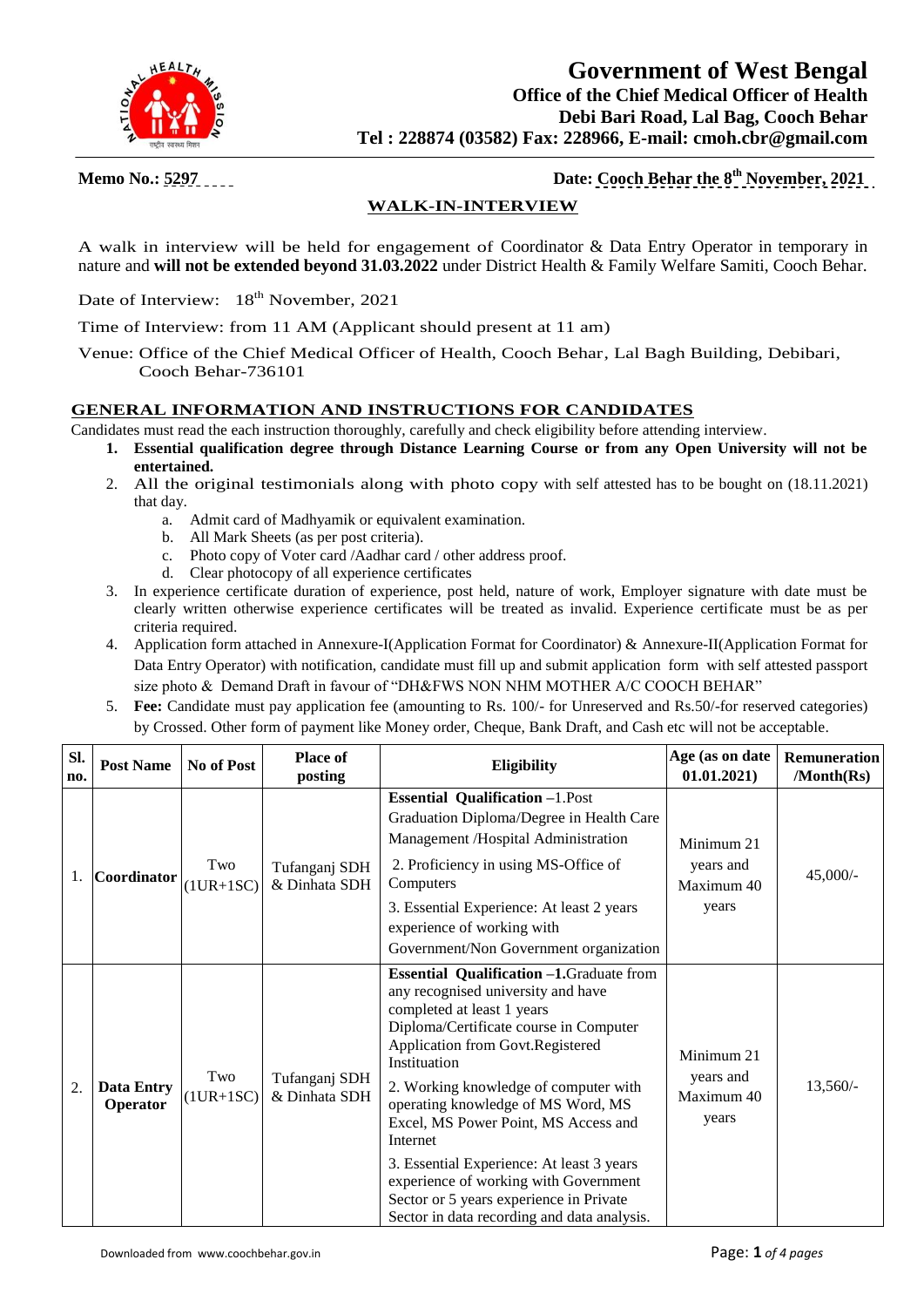

 **Government of West Bengal Office of the Chief Medical Officer of Health Debi Bari Road, Lal Bag, Cooch Behar Tel : 228874 (03582) Fax: 228966, E-mail: cmoh.cbr@gmail.com**

**Memo No.: 5297 Date: Cooch Behar the 8 th November, 2021**

# **WALK-IN-INTERVIEW**

A walk in interview will be held for engagement of Coordinator & Data Entry Operator in temporary in nature and **will not be extended beyond 31.03.2022** under District Health & Family Welfare Samiti, Cooch Behar.

Date of Interview: 18<sup>th</sup> November, 2021

Time of Interview: from 11 AM (Applicant should present at 11 am)

Venue: Office of the Chief Medical Officer of Health, Cooch Behar, Lal Bagh Building, Debibari, Cooch Behar-736101

#### **GENERAL INFORMATION AND INSTRUCTIONS FOR CANDIDATES**

- Candidates must read the each instruction thoroughly, carefully and check eligibility before attending interview.
	- **1. Essential qualification degree through Distance Learning Course or from any Open University will not be entertained.**
	- 2. All the original testimonials along with photo copy with self attested has to be bought on (18.11.2021) that day.
		- a. Admit card of Madhyamik or equivalent examination.
		- b. All Mark Sheets (as per post criteria).
		- c. Photo copy of Voter card /Aadhar card / other address proof.
		- d. Clear photocopy of all experience certificates
	- 3. In experience certificate duration of experience, post held, nature of work, Employer signature with date must be clearly written otherwise experience certificates will be treated as invalid. Experience certificate must be as per criteria required.
	- 4. Application form attached in Annexure-I(Application Format for Coordinator) & Annexure-II(Application Format for Data Entry Operator) with notification, candidate must fill up and submit application form with self attested passport size photo & Demand Draft in favour of "DH&FWS NON NHM MOTHER A/C COOCH BEHAR"
	- 5. **Fee:** Candidate must pay application fee (amounting to Rs. 100/- for Unreserved and Rs.50/-for reserved categories) by Crossed. Other form of payment like Money order, Cheque, Bank Draft, and Cash etc will not be acceptable.

| SI.<br>no.       | <b>Post Name</b>              | No of Post         | Place of<br>posting            | <b>Eligibility</b>                                                                                                                                                                                                                                                                                                                                                                                                                                                                                                                    | Age (as on date<br>01.01.2021)                 | Remuneration<br>/Month(Rs) |
|------------------|-------------------------------|--------------------|--------------------------------|---------------------------------------------------------------------------------------------------------------------------------------------------------------------------------------------------------------------------------------------------------------------------------------------------------------------------------------------------------------------------------------------------------------------------------------------------------------------------------------------------------------------------------------|------------------------------------------------|----------------------------|
|                  | Coordinator                   | Two<br>$(1UR+1SC)$ | Tufanganj SDH<br>& Dinhata SDH | <b>Essential Qualification -1.Post</b><br>Graduation Diploma/Degree in Health Care<br>Management /Hospital Administration<br>2. Proficiency in using MS-Office of<br>Computers<br>3. Essential Experience: At least 2 years<br>experience of working with<br>Government/Non Government organization                                                                                                                                                                                                                                   | Minimum 21<br>years and<br>Maximum 40<br>years | $45,000/-$                 |
| $\overline{2}$ . | <b>Data Entry</b><br>Operator | Two<br>$(1UR+1SC)$ | Tufanganj SDH<br>& Dinhata SDH | <b>Essential Qualification -1.</b> Graduate from<br>any recognised university and have<br>completed at least 1 years<br>Diploma/Certificate course in Computer<br>Application from Govt.Registered<br>Instituation<br>2. Working knowledge of computer with<br>operating knowledge of MS Word, MS<br>Excel, MS Power Point, MS Access and<br>Internet<br>3. Essential Experience: At least 3 years<br>experience of working with Government<br>Sector or 5 years experience in Private<br>Sector in data recording and data analysis. | Minimum 21<br>years and<br>Maximum 40<br>years | $13,560/-$                 |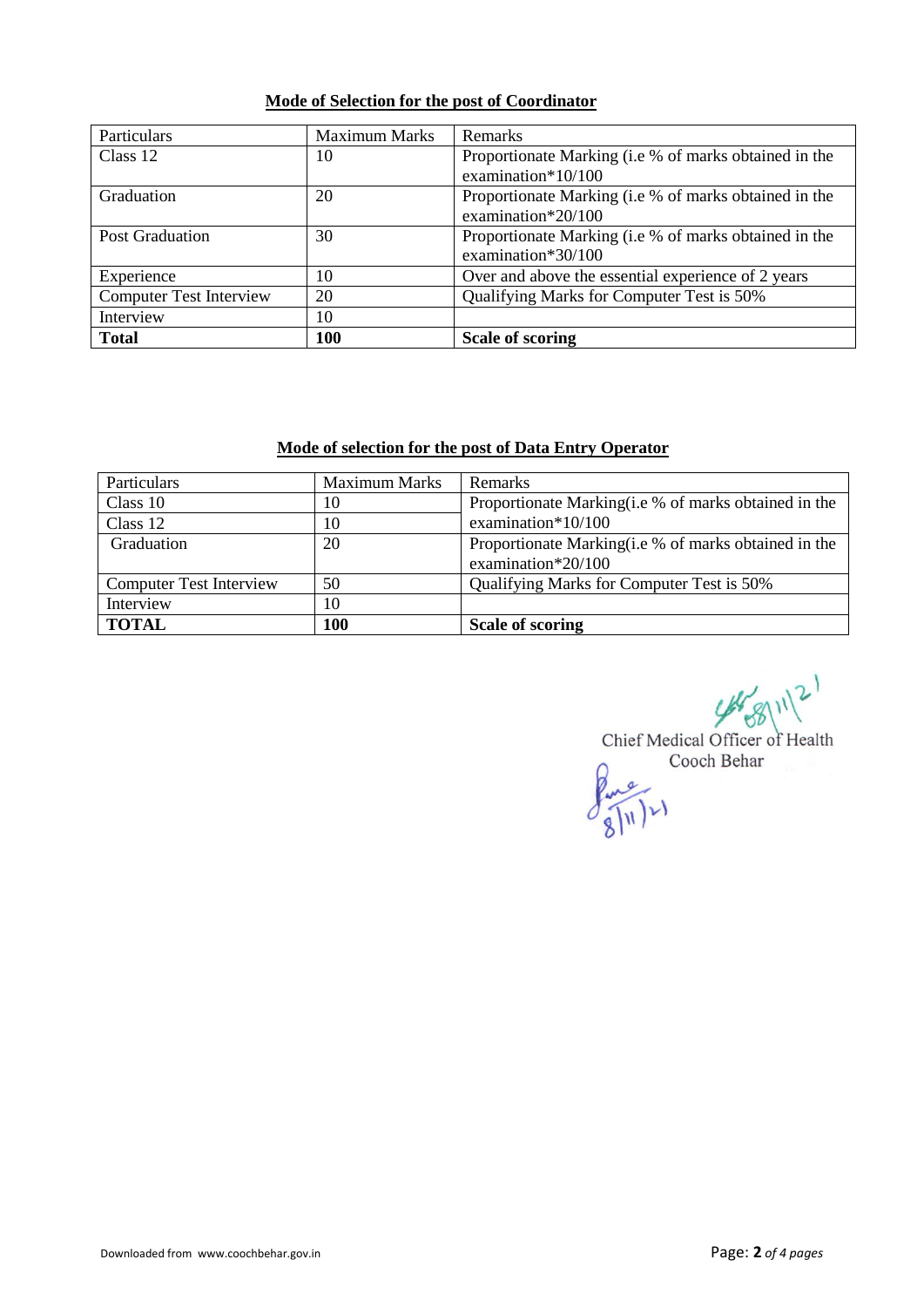#### **Mode of Selection for the post of Coordinator**

| Particulars                    | <b>Maximum Marks</b> | <b>Remarks</b>                                                              |
|--------------------------------|----------------------|-----------------------------------------------------------------------------|
| Class 12                       | 10                   | Proportionate Marking (i.e % of marks obtained in the<br>examination*10/100 |
| Graduation                     | 20                   | Proportionate Marking (i.e % of marks obtained in the<br>examination*20/100 |
| <b>Post Graduation</b>         | 30                   | Proportionate Marking (i.e % of marks obtained in the<br>examination*30/100 |
| Experience                     | 10                   | Over and above the essential experience of 2 years                          |
| <b>Computer Test Interview</b> | 20                   | Qualifying Marks for Computer Test is 50%                                   |
| Interview                      | 10                   |                                                                             |
| <b>Total</b>                   | <b>100</b>           | <b>Scale of scoring</b>                                                     |

#### **Mode of selection for the post of Data Entry Operator**

| Particulars                    | <b>Maximum Marks</b> | Remarks                                                                    |
|--------------------------------|----------------------|----------------------------------------------------------------------------|
| Class 10                       | 10                   | Proportionate Marking(i.e % of marks obtained in the                       |
| Class 12                       | 10                   | examination* $10/100$                                                      |
| Graduation                     | 20                   | Proportionate Marking(i.e % of marks obtained in the<br>examination*20/100 |
| <b>Computer Test Interview</b> | 50                   | Qualifying Marks for Computer Test is 50%                                  |
| Interview                      | 10                   |                                                                            |
| <b>TOTAL</b>                   | 100                  | <b>Scale of scoring</b>                                                    |

 $488112$ 

Chief Medical Officer of Health Cooch Behar  $f_{\text{max}}$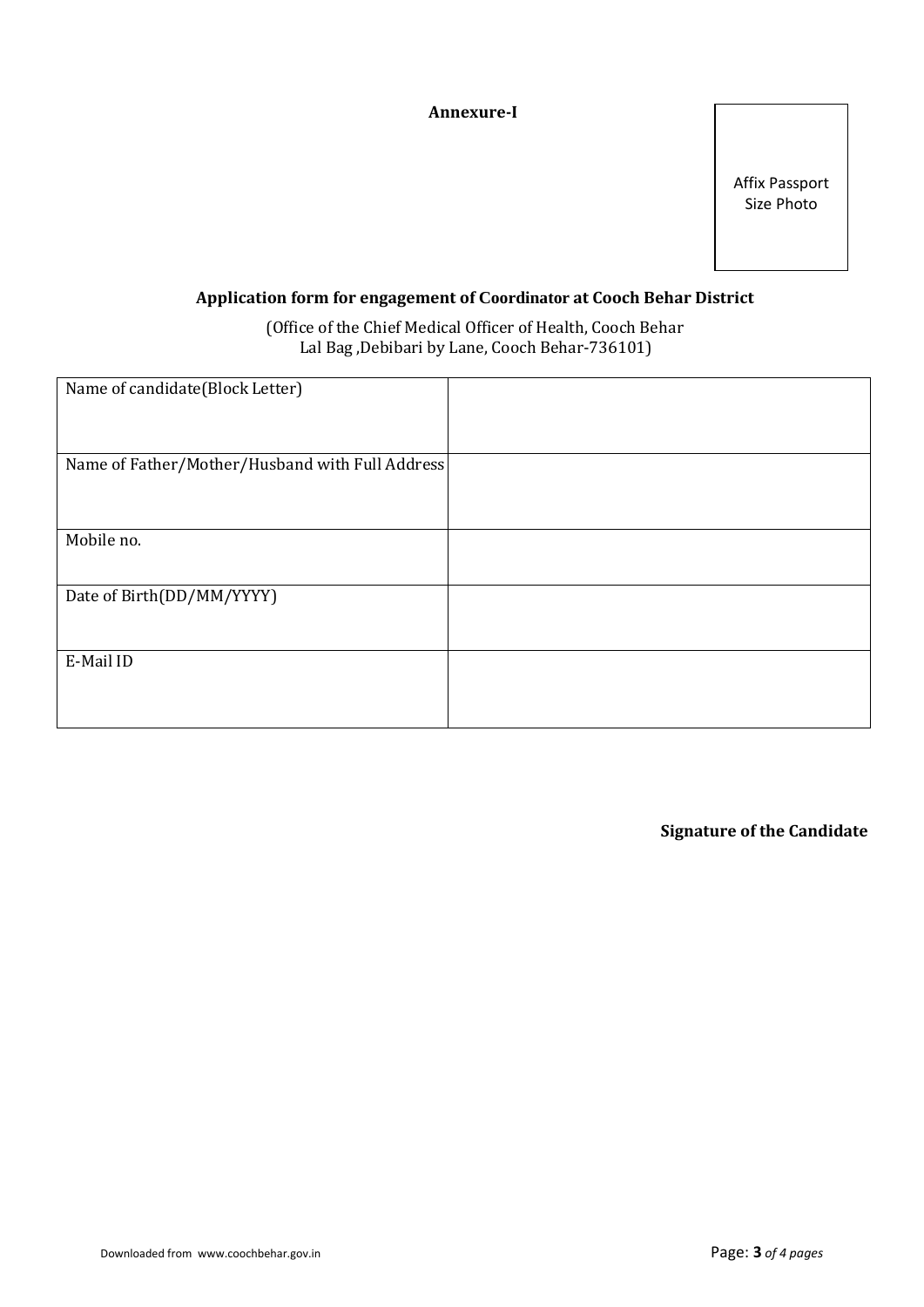## **Annexure-I**

Affix Passport Size Photo

## **Application form for engagement of Coordinator at Cooch Behar District**

 (Office of the Chief Medical Officer of Health, Cooch Behar Lal Bag ,Debibari by Lane, Cooch Behar-736101)

| Name of candidate(Block Letter)                 |  |
|-------------------------------------------------|--|
|                                                 |  |
|                                                 |  |
|                                                 |  |
|                                                 |  |
| Name of Father/Mother/Husband with Full Address |  |
|                                                 |  |
|                                                 |  |
|                                                 |  |
|                                                 |  |
|                                                 |  |
| Mobile no.                                      |  |
|                                                 |  |
|                                                 |  |
|                                                 |  |
| Date of Birth(DD/MM/YYYY)                       |  |
|                                                 |  |
|                                                 |  |
|                                                 |  |
|                                                 |  |
| E-Mail ID                                       |  |
|                                                 |  |
|                                                 |  |
|                                                 |  |
|                                                 |  |
|                                                 |  |

**Signature of the Candidate**